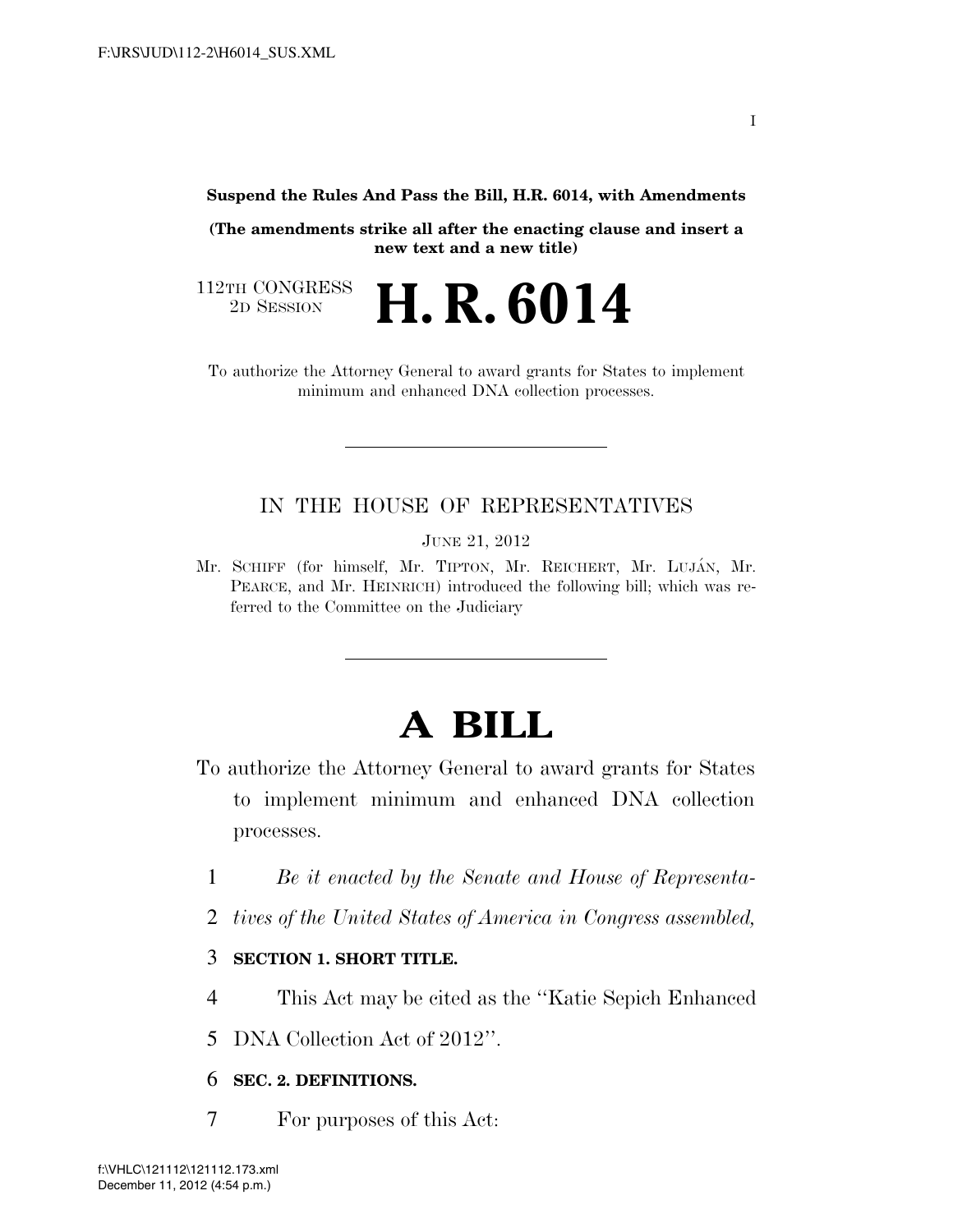**Suspend the Rules And Pass the Bill, H.R. 6014, with Amendments** 

**(The amendments strike all after the enacting clause and insert a new text and a new title)** 

2D SESSION **H. R. 6014**

112TH CONGRESS<br>2D SESSION

To authorize the Attorney General to award grants for States to implement minimum and enhanced DNA collection processes.

# IN THE HOUSE OF REPRESENTATIVES

JUNE 21, 2012

Mr. SCHIFF (for himself, Mr. TIPTON, Mr. REICHERT, Mr. LUJÁN, Mr. PEARCE, and Mr. HEINRICH) introduced the following bill; which was referred to the Committee on the Judiciary

# **A BILL**

To authorize the Attorney General to award grants for States to implement minimum and enhanced DNA collection processes.

- 1 *Be it enacted by the Senate and House of Representa-*
- 2 *tives of the United States of America in Congress assembled,*

# 3 **SECTION 1. SHORT TITLE.**

4 This Act may be cited as the ''Katie Sepich Enhanced

5 DNA Collection Act of 2012''.

#### 6 **SEC. 2. DEFINITIONS.**

7 For purposes of this Act: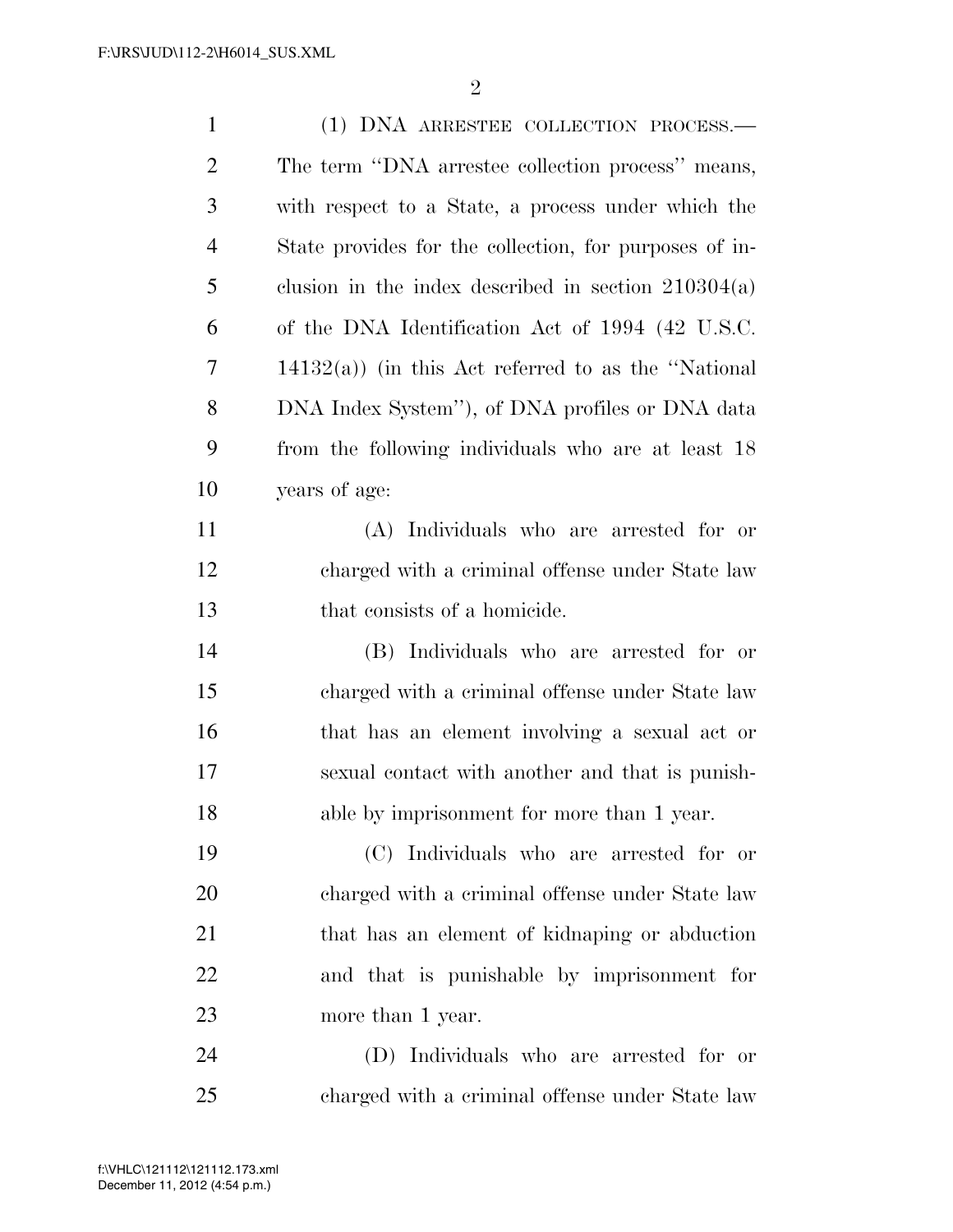| $\mathbf{1}$   | (1) DNA ARRESTEE COLLECTION PROCESS.—                  |
|----------------|--------------------------------------------------------|
| 2              | The term "DNA arrestee collection process" means,      |
| 3              | with respect to a State, a process under which the     |
| $\overline{4}$ | State provides for the collection, for purposes of in- |
| 5              | clusion in the index described in section $210304(a)$  |
| 6              | of the DNA Identification Act of 1994 (42 U.S.C.       |
| 7              | $14132(a)$ ) (in this Act referred to as the "National |
| 8              | DNA Index System"), of DNA profiles or DNA data        |
| 9              | from the following individuals who are at least 18     |
| 10             | years of age:                                          |
| 11             | (A) Individuals who are arrested for or                |
| 12             | charged with a criminal offense under State law        |
| 13             | that consists of a homicide.                           |
| 14             | (B) Individuals who are arrested for or                |
| 15             | charged with a criminal offense under State law        |
| 16             | that has an element involving a sexual act or          |
| 17             | sexual contact with another and that is punish-        |
| 18             | able by imprisonment for more than 1 year.             |
| 19             | (C) Individuals who are arrested for or                |
| 20             | charged with a criminal offense under State law        |
| 21             | that has an element of kidnaping or abduction          |
| 22             | and that is punishable by imprisonment for             |
| 23             | more than 1 year.                                      |
| 24             | (D) Individuals who are arrested for or                |
| 25             | charged with a criminal offense under State law        |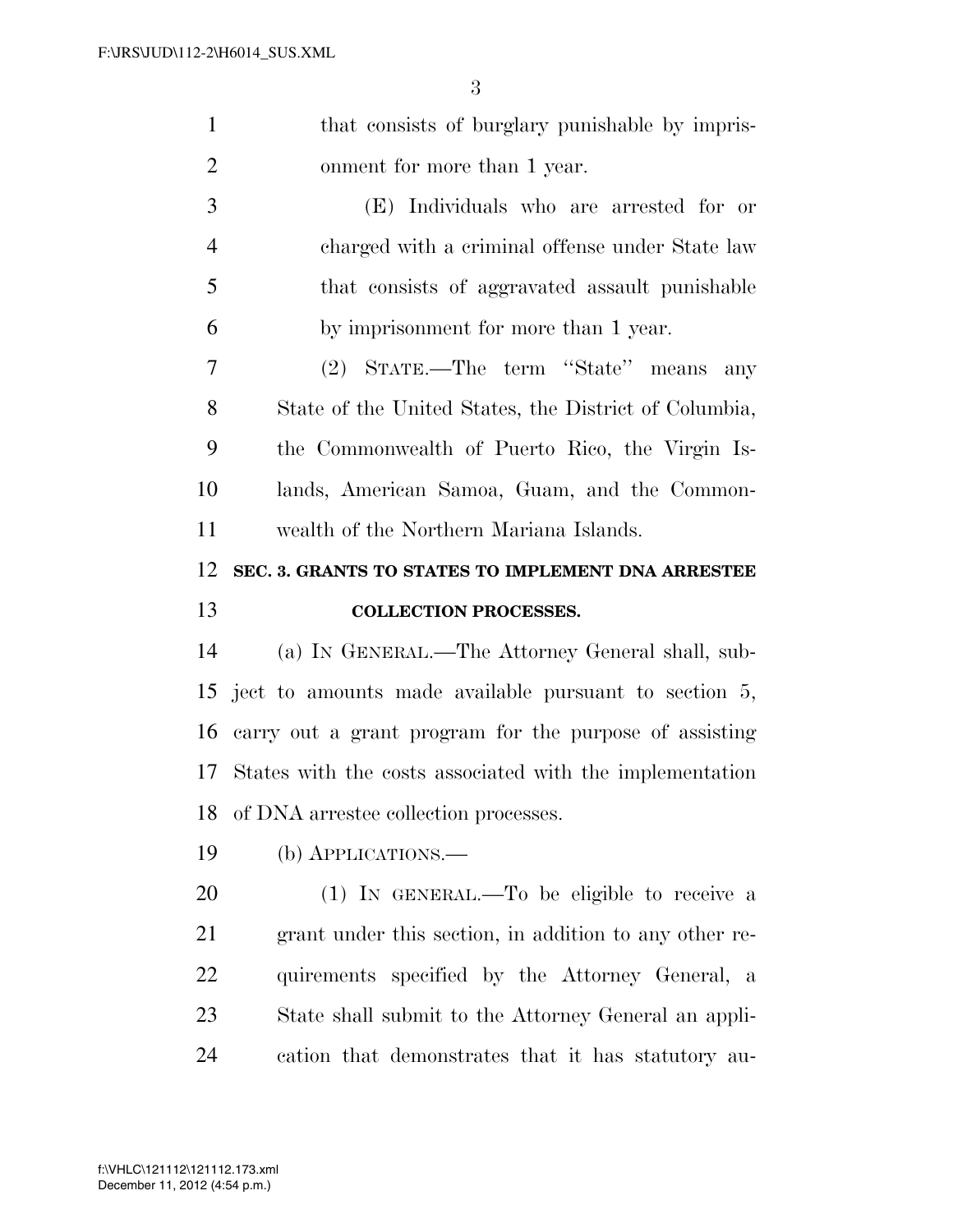| $\mathbf{1}$   | that consists of burglary punishable by impris-          |
|----------------|----------------------------------------------------------|
| $\overline{2}$ | onment for more than 1 year.                             |
| 3              | (E) Individuals who are arrested for or                  |
| $\overline{4}$ | charged with a criminal offense under State law          |
| 5              | that consists of aggravated assault punishable           |
| 6              | by imprisonment for more than 1 year.                    |
| 7              | (2) STATE.—The term "State" means<br>any                 |
| 8              | State of the United States, the District of Columbia,    |
| 9              | the Commonwealth of Puerto Rico, the Virgin Is-          |
| 10             | lands, American Samoa, Guam, and the Common-             |
| 11             | wealth of the Northern Mariana Islands.                  |
| 12             | SEC. 3. GRANTS TO STATES TO IMPLEMENT DNA ARRESTEE       |
|                |                                                          |
| 13             | <b>COLLECTION PROCESSES.</b>                             |
| 14             | (a) IN GENERAL.—The Attorney General shall, sub-         |
| 15             | ject to amounts made available pursuant to section 5,    |
| 16             | carry out a grant program for the purpose of assisting   |
| 17             | States with the costs associated with the implementation |
| 18             | of DNA arrestee collection processes.                    |
| 19             | (b) APPLICATIONS.—                                       |
| 20             | $(1)$ IN GENERAL.—To be eligible to receive a            |
| 21             | grant under this section, in addition to any other re-   |
| 22             | quirements specified by the Attorney General, a          |
| 23             | State shall submit to the Attorney General an appli-     |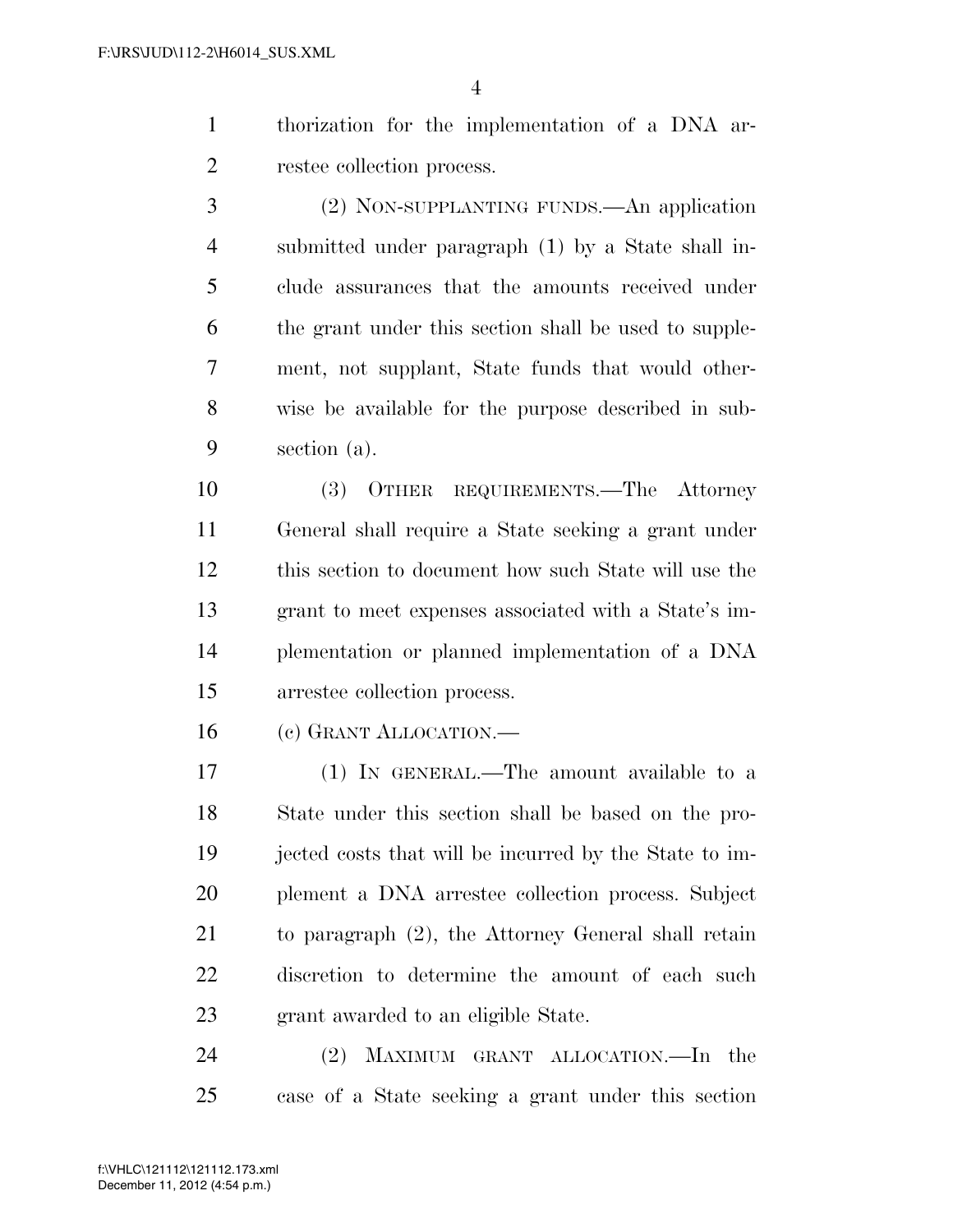thorization for the implementation of a DNA ar-restee collection process.

 (2) NON-SUPPLANTING FUNDS.—An application submitted under paragraph (1) by a State shall in- clude assurances that the amounts received under the grant under this section shall be used to supple- ment, not supplant, State funds that would other- wise be available for the purpose described in sub-section (a).

 (3) OTHER REQUIREMENTS.—The Attorney General shall require a State seeking a grant under this section to document how such State will use the grant to meet expenses associated with a State's im- plementation or planned implementation of a DNA arrestee collection process.

(c) GRANT ALLOCATION.—

 (1) IN GENERAL.—The amount available to a State under this section shall be based on the pro- jected costs that will be incurred by the State to im- plement a DNA arrestee collection process. Subject to paragraph (2), the Attorney General shall retain discretion to determine the amount of each such grant awarded to an eligible State.

 (2) MAXIMUM GRANT ALLOCATION.—In the case of a State seeking a grant under this section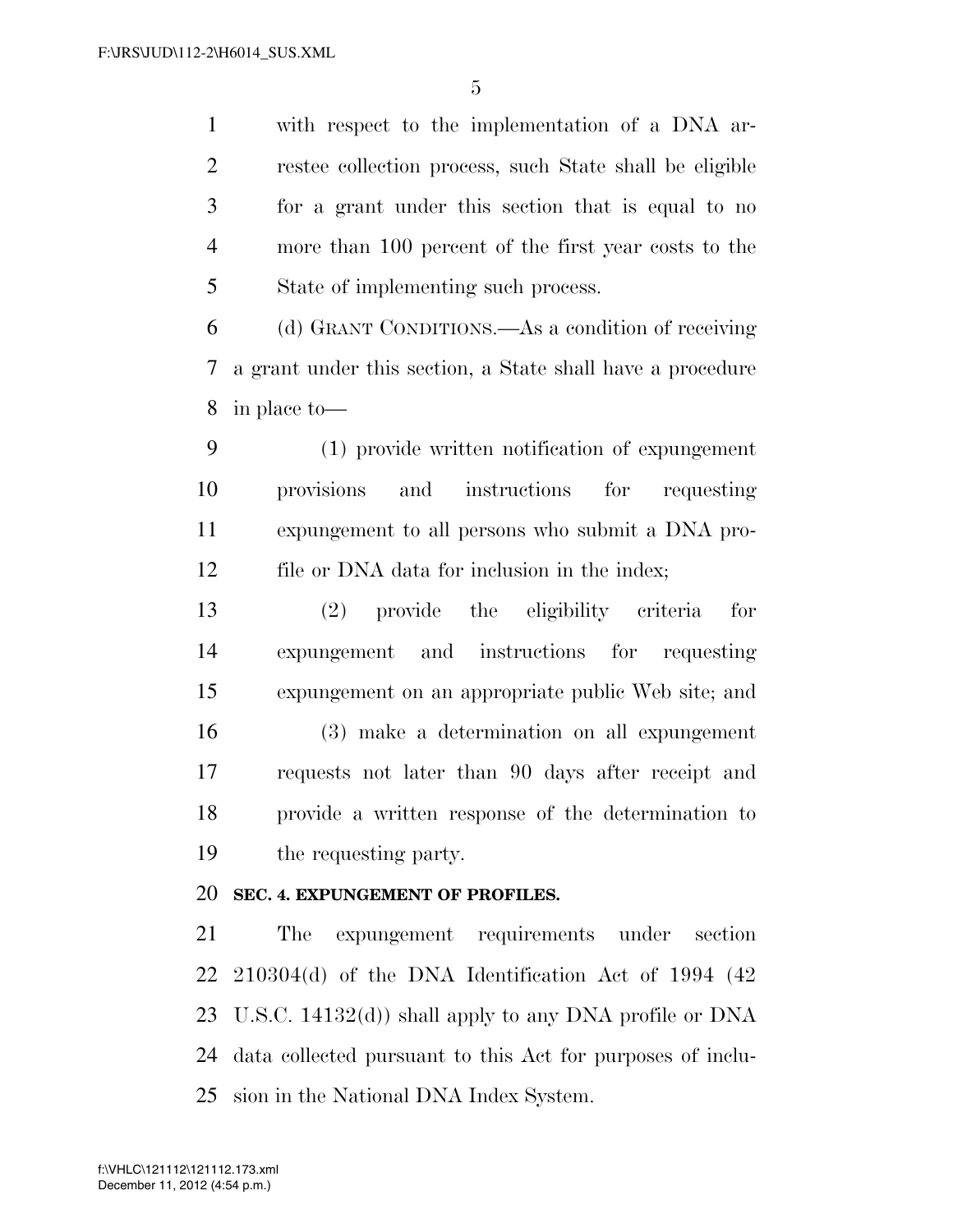with respect to the implementation of a DNA ar- restee collection process, such State shall be eligible for a grant under this section that is equal to no more than 100 percent of the first year costs to the State of implementing such process.

 (d) GRANT CONDITIONS.—As a condition of receiving a grant under this section, a State shall have a procedure in place to—

 (1) provide written notification of expungement provisions and instructions for requesting expungement to all persons who submit a DNA pro-12 file or DNA data for inclusion in the index;

 (2) provide the eligibility criteria for expungement and instructions for requesting expungement on an appropriate public Web site; and (3) make a determination on all expungement requests not later than 90 days after receipt and provide a written response of the determination to the requesting party.

# **SEC. 4. EXPUNGEMENT OF PROFILES.**

 The expungement requirements under section 210304(d) of the DNA Identification Act of 1994 (42 U.S.C. 14132(d)) shall apply to any DNA profile or DNA data collected pursuant to this Act for purposes of inclu-sion in the National DNA Index System.